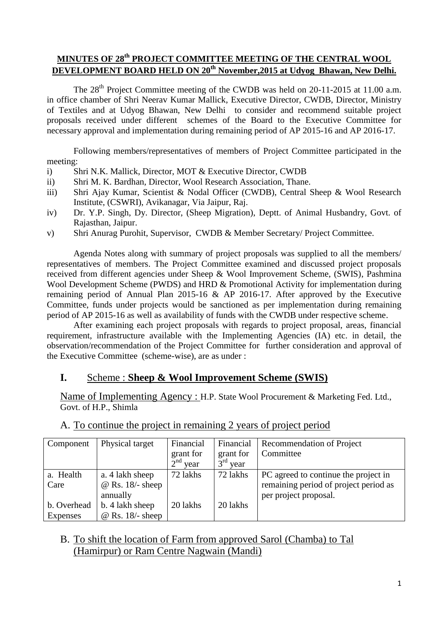## **MINUTES OF 28th PROJECT COMMITTEE MEETING OF THE CENTRAL WOOL DEVELOPMENT BOARD HELD ON 20th November,2015 at Udyog Bhawan, New Delhi.**

The 28<sup>th</sup> Project Committee meeting of the CWDB was held on 20-11-2015 at 11.00 a.m. in office chamber of Shri Neerav Kumar Mallick, Executive Director, CWDB, Director, Ministry of Textiles and at Udyog Bhawan, New Delhi to consider and recommend suitable project proposals received under different schemes of the Board to the Executive Committee for necessary approval and implementation during remaining period of AP 2015-16 and AP 2016-17.

Following members/representatives of members of Project Committee participated in the meeting:

- i) Shri N.K. Mallick, Director, MOT & Executive Director, CWDB
- ii) Shri M. K. Bardhan, Director, Wool Research Association, Thane.
- iii) Shri Ajay Kumar, Scientist & Nodal Officer (CWDB), Central Sheep & Wool Research Institute, (CSWRI), Avikanagar, Via Jaipur, Raj.
- iv) Dr. Y.P. Singh, Dy. Director, (Sheep Migration), Deptt. of Animal Husbandry, Govt. of Rajasthan, Jaipur.
- v) Shri Anurag Purohit, Supervisor, CWDB & Member Secretary/ Project Committee.

Agenda Notes along with summary of project proposals was supplied to all the members/ representatives of members. The Project Committee examined and discussed project proposals received from different agencies under Sheep & Wool Improvement Scheme, (SWIS), Pashmina Wool Development Scheme (PWDS) and HRD & Promotional Activity for implementation during remaining period of Annual Plan 2015-16 & AP 2016-17. After approved by the Executive Committee, funds under projects would be sanctioned as per implementation during remaining period of AP 2015-16 as well as availability of funds with the CWDB under respective scheme.

After examining each project proposals with regards to project proposal, areas, financial requirement, infrastructure available with the Implementing Agencies (IA) etc. in detail, the observation/recommendation of the Project Committee for further consideration and approval of the Executive Committee (scheme-wise), are as under :

#### **I.** Scheme : **Sheep & Wool Improvement Scheme (SWIS)**

Name of Implementing Agency : H.P. State Wool Procurement & Marketing Fed. Ltd., Govt. of H.P., Shimla

| Component   | Physical target         | Financial               | Financial               | <b>Recommendation of Project</b>      |
|-------------|-------------------------|-------------------------|-------------------------|---------------------------------------|
|             |                         | grant for               | grant for               | Committee                             |
|             |                         | 2 <sup>nd</sup><br>year | 3 <sup>rd</sup><br>year |                                       |
| a. Health   | a. 4 lakh sheep         | 72 lakhs                | 72 lakhs                | PC agreed to continue the project in  |
| Care        | $\omega$ Rs. 18/- sheep |                         |                         | remaining period of project period as |
|             | annually                |                         |                         | per project proposal.                 |
| b. Overhead | b. 4 lakh sheep         | 20 lakhs                | 20 lakhs                |                                       |
| Expenses    | $@$ Rs. 18/- sheep      |                         |                         |                                       |

#### A. To continue the project in remaining 2 years of project period

### B. To shift the location of Farm from approved Sarol (Chamba) to Tal (Hamirpur) or Ram Centre Nagwain (Mandi)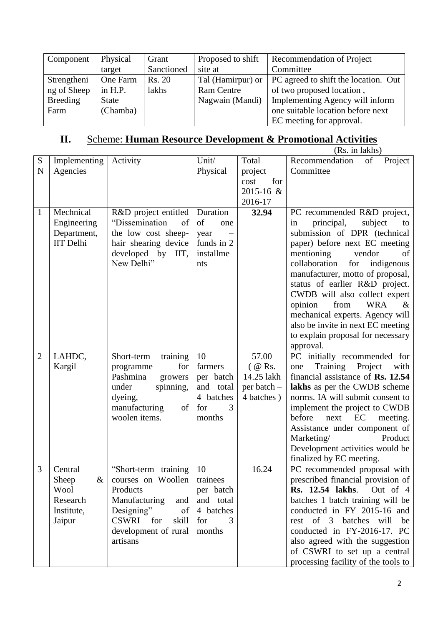| Component       | Physical     | Grant      | Proposed to shift | Recommendation of Project            |
|-----------------|--------------|------------|-------------------|--------------------------------------|
|                 | target       | Sanctioned | site at           | Committee                            |
| Strengtheni     | One Farm     | Rs. 20     | Tal (Hamirpur) or | PC agreed to shift the location. Out |
| ng of Sheep     | in H.P.      | lakhs      | <b>Ram Centre</b> | of two proposed location,            |
| <b>Breeding</b> | <b>State</b> |            | Nagwain (Mandi)   | Implementing Agency will inform      |
| Farm            | (Chamba)     |            |                   | one suitable location before next    |
|                 |              |            |                   | EC meeting for approval.             |

# **II.** Scheme: **Human Resource Development & Promotional Activities**

|                |                                                                      |                                                                                                                                                                                 |                                                                             |                                                               | (Rs. in lakhs)                                                                                                                                                                                                                                                                                                                                                         |
|----------------|----------------------------------------------------------------------|---------------------------------------------------------------------------------------------------------------------------------------------------------------------------------|-----------------------------------------------------------------------------|---------------------------------------------------------------|------------------------------------------------------------------------------------------------------------------------------------------------------------------------------------------------------------------------------------------------------------------------------------------------------------------------------------------------------------------------|
| S              | Implementing                                                         | Activity                                                                                                                                                                        | Unit/                                                                       | Total                                                         | Recommendation<br>of<br>Project                                                                                                                                                                                                                                                                                                                                        |
| $\mathbf N$    | Agencies                                                             |                                                                                                                                                                                 | Physical                                                                    | project                                                       | Committee                                                                                                                                                                                                                                                                                                                                                              |
|                |                                                                      |                                                                                                                                                                                 |                                                                             | for<br>cost                                                   |                                                                                                                                                                                                                                                                                                                                                                        |
|                |                                                                      |                                                                                                                                                                                 |                                                                             | 2015-16 &                                                     |                                                                                                                                                                                                                                                                                                                                                                        |
|                |                                                                      |                                                                                                                                                                                 |                                                                             | 2016-17                                                       |                                                                                                                                                                                                                                                                                                                                                                        |
| $\mathbf{1}$   | Mechnical<br>Engineering<br>Department,<br><b>IIT</b> Delhi          | R&D project entitled<br>"Dissemination<br>of<br>the low cost sheep-<br>hair shearing device<br>developed by IIT,                                                                | Duration<br>of<br>one<br>year<br>funds in 2<br>installme                    | 32.94                                                         | PC recommended R&D project,<br>principal,<br>subject<br>in<br>to<br>submission of DPR (technical<br>paper) before next EC meeting<br>mentioning<br>vendor<br>of                                                                                                                                                                                                        |
|                |                                                                      | New Delhi"                                                                                                                                                                      | nts                                                                         |                                                               | collaboration<br>indigenous<br>for<br>manufacturer, motto of proposal,<br>status of earlier R&D project.<br>CWDB will also collect expert<br><b>WRA</b><br>opinion<br>from<br>$\&$<br>mechanical experts. Agency will<br>also be invite in next EC meeting<br>to explain proposal for necessary<br>approval.                                                           |
| $\overline{2}$ | LAHDC,<br>Kargil                                                     | Short-term<br>training<br>for<br>programme<br>Pashmina<br>growers<br>under<br>spinning,<br>dyeing,<br>manufacturing<br>of<br>woolen items.                                      | 10<br>farmers<br>per batch<br>and total<br>4 batches<br>3<br>for<br>months  | 57.00<br>$($ @ Rs.<br>14.25 lakh<br>per batch -<br>4 batches) | PC initially recommended for<br>Training Project<br>with<br>one<br>financial assistance of Rs. 12.54<br>lakhs as per the CWDB scheme<br>norms. IA will submit consent to<br>implement the project to CWDB<br>before<br>next<br>EC<br>meeting.<br>Assistance under component of<br>Marketing/<br>Product<br>Development activities would be<br>finalized by EC meeting. |
| 3              | Central<br>Sheep<br>$\&$<br>Wool<br>Research<br>Institute,<br>Jaipur | "Short-term training<br>courses on Woollen trainees<br>Products<br>Manufacturing<br>and<br>Designing"<br>of<br><b>CSWRI</b><br>for<br>skill<br>development of rural<br>artisans | 10<br>per batch<br>and total<br>4 batches<br>for<br>$\mathcal{F}$<br>months | 16.24                                                         | PC recommended proposal with<br>prescribed financial provision of<br><b>Rs.</b> 12.54 lakhs.<br>Out of 4<br>batches 1 batch training will be<br>conducted in FY 2015-16 and<br>rest of 3 batches will<br>be<br>conducted in FY-2016-17. PC<br>also agreed with the suggestion<br>of CSWRI to set up a central<br>processing facility of the tools to                   |